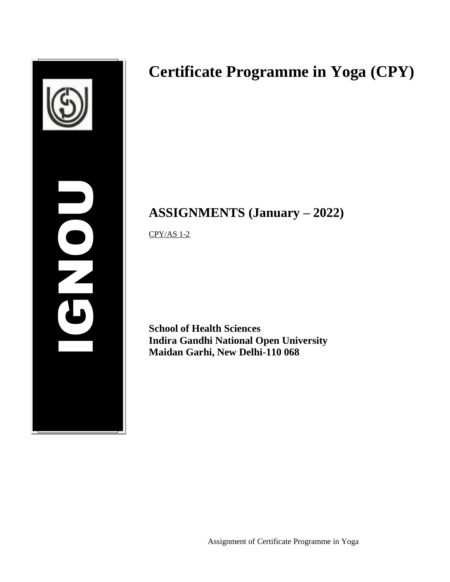

# **Certificate Programme in Yoga (CPY)**

## **ASSIGNMENTS (January – 2022)**

CPY/AS 1-2

**School of Health Sciences Indira Gandhi National Open University Maidan Garhi, New Delhi-110 068**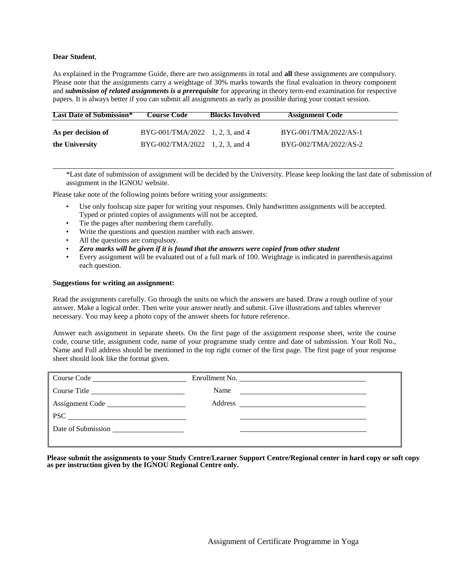#### **Dear Student**,

As explained in the Programme Guide, there are two assignments in total and **all** these assignments are compulsory. Please note that the assignments carry a weightage of 30% marks towards the final evaluation in theory component and *submission of related assignments is a prerequisite* for appearing in theory term-end examination for respective papers. It is always better if you can submit all assignments as early as possible during your contact session.

| <b>Last Date of Submission*</b> | <b>Course Code</b>                      | <b>Blocks Involved</b> | <b>Assignment Code</b> |
|---------------------------------|-----------------------------------------|------------------------|------------------------|
|                                 |                                         |                        |                        |
| As per decision of              | $BYG-001/TMA/2022 \quad 1, 2, 3, and 4$ |                        | BYG-001/TMA/2022/AS-1  |
| the University                  | BYG-002/TMA/2022 1, 2, 3, and 4         |                        | BYG-002/TMA/2022/AS-2  |

\*Last date of submission of assignment will be decided by the University. Please keep looking the last date of submission of assignment in the IGNOU website.

Please take note of the following points before writing your assignments:

- Use only foolscap size paper for writing your responses. Only handwritten assignments will be accepted. Typed or printed copies of assignments will not be accepted.
- Tie the pages after numbering them carefully.
- Write the questions and question number with each answer.
- All the questions are compulsory.
- *Zero marks will be given if it is found that the answers were copied from other student*
- Every assignment will be evaluated out of a full mark of 100. Weightage is indicated in parenthesis against each question.

#### **Suggestions for writing an assignment:**

Read the assignments carefully. Go through the units on which the answers are based. Draw a rough outline of your answer. Make a logical order. Then write your answer neatly and submit. Give illustrations and tables wherever necessary. You may keep a photo copy of the answer sheets for future reference.

Answer each assignment in separate sheets. On the first page of the assignment response sheet, write the course code, course title, assignment code, name of your programme study centre and date of submission. Your Roll No., Name and Full address should be mentioned in the top right corner of the first page. The first page of your response sheet should look like the format given.

| Course Code        | Enrollment No.                                                    |  |
|--------------------|-------------------------------------------------------------------|--|
| Course Title       | Name<br><u> 1989 - John Stein, Amerikaansk politiker (* 1958)</u> |  |
| Assignment Code    |                                                                   |  |
|                    |                                                                   |  |
| Date of Submission |                                                                   |  |
|                    |                                                                   |  |

**Please submit the assignments to your Study Centre/Learner Support Centre/Regional center in hard copy or soft copy as per instruction given by the IGNOU Regional Centre only.**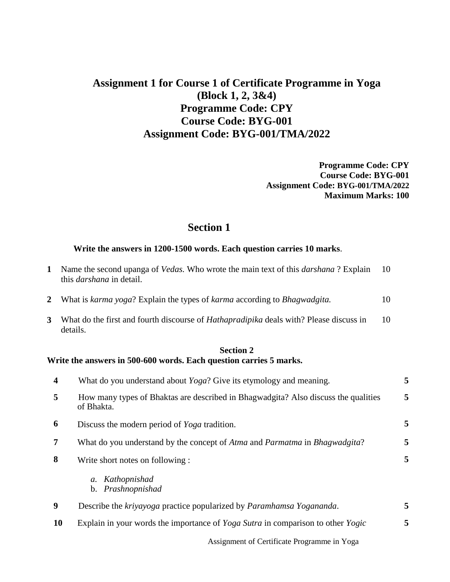## **Assignment 1 for Course 1 of Certificate Programme in Yoga (Block 1, 2, 3&4) Programme Code: CPY Course Code: BYG-001 Assignment Code: BYG-001/TMA/2022**

**Programme Code: CPY Course Code: BYG-001 Assignment Code: BYG-001/TMA/2022 Maximum Marks: 100** 

#### **Section 1**

#### **Write the answers in 1200-1500 words. Each question carries 10 marks**.

| 1                       | Name the second upanga of <i>Vedas</i> . Who wrote the main text of this <i>darshana</i> ? Explain<br>this <i>darshana</i> in detail. | 10 |  |
|-------------------------|---------------------------------------------------------------------------------------------------------------------------------------|----|--|
| 2                       | What is karma yoga? Explain the types of karma according to Bhagwadgita.                                                              | 10 |  |
| 3                       | What do the first and fourth discourse of <i>Hathapradipika</i> deals with? Please discuss in<br>details.                             | 10 |  |
|                         | <b>Section 2</b><br>Write the answers in 500-600 words. Each question carries 5 marks.                                                |    |  |
| $\overline{\mathbf{4}}$ | What do you understand about Yoga? Give its etymology and meaning.                                                                    | 5  |  |
| 5                       | How many types of Bhaktas are described in Bhagwadgita? Also discuss the qualities<br>of Bhakta.                                      | 5  |  |
| 6                       | Discuss the modern period of Yoga tradition.                                                                                          | 5  |  |
| 7                       | What do you understand by the concept of Atma and Parmatma in Bhagwadgita?                                                            | 5  |  |
| 8                       | Write short notes on following :                                                                                                      | 5  |  |
|                         | a. Kathopnishad<br>b. Prashnopnishad                                                                                                  |    |  |
| $\boldsymbol{9}$        | Describe the kriyayoga practice popularized by Paramhamsa Yogananda.                                                                  | 5  |  |
|                         | 10<br>Explain in your words the importance of Yoga Sutra in comparison to other Yogic                                                 | 5  |  |

Assignment of Certificate Programme in Yoga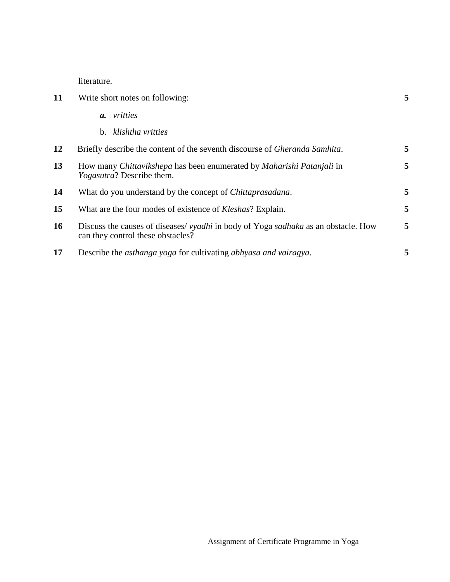literature.

| 11 | Write short notes on following:                                                                                                       |   |
|----|---------------------------------------------------------------------------------------------------------------------------------------|---|
|    | vritties<br><b>a.</b>                                                                                                                 |   |
|    | klishtha vritties<br>$b_{1}$                                                                                                          |   |
| 12 | Briefly describe the content of the seventh discourse of <i>Gheranda Samhita</i> .                                                    | 5 |
| 13 | How many <i>Chittavikshepa</i> has been enumerated by <i>Maharishi Patanjali</i> in<br><i>Yogasutra?</i> Describe them.               | 5 |
| 14 | What do you understand by the concept of <i>Chittaprasadana</i> .                                                                     | 5 |
| 15 | What are the four modes of existence of <i>Kleshas</i> ? Explain.                                                                     | 5 |
| 16 | Discuss the causes of diseases/ <i>vyadhi</i> in body of Yoga <i>sadhaka</i> as an obstacle. How<br>can they control these obstacles? | 5 |
| 17 | Describe the <i>asthanga</i> yoga for cultivating <i>abhyasa and vairagya</i> .                                                       | 5 |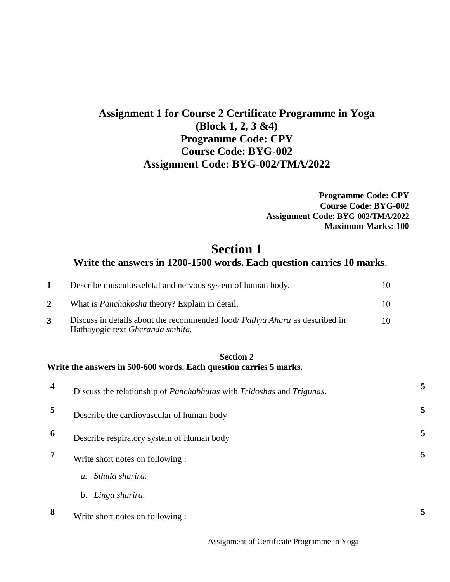## **Assignment 1 for Course 2 Certificate Programme in Yoga (Block 1, 2, 3 &4) Programme Code: CPY Course Code: BYG-002 Assignment Code: BYG-002/TMA/2022**

**Programme Code: CPY Course Code: BYG-002 Assignment Code: BYG-002/TMA/2022 Maximum Marks: 100** 

### **Section 1 Write the answers in 1200-1500 words. Each question carries 10 marks**.

| Describe musculoskeletal and nervous system of human body.                                                             | 10 |
|------------------------------------------------------------------------------------------------------------------------|----|
| What is <i>Panchakosha</i> theory? Explain in detail.                                                                  | 10 |
| Discuss in details about the recommended food/ <i>Pathya Ahara</i> as described in<br>Hathayogic text Gheranda smhita. | 10 |

#### **Section 2 Write the answers in 500-600 words. Each question carries 5 marks.**

| $\overline{\mathbf{4}}$ | Discuss the relationship of Panchabhutas with Tridoshas and Trigunas. | 5 |
|-------------------------|-----------------------------------------------------------------------|---|
| 5                       | Describe the cardiovascular of human body                             | 5 |
| 6                       | Describe respiratory system of Human body                             | 5 |
| 7                       | Write short notes on following :                                      | 5 |
|                         | Sthula sharira.<br>$\mathfrak{a}$ .                                   |   |
|                         | Linga sharira.<br>$\mathbf{b}$ .                                      |   |
| 8                       | Write short notes on following :                                      | 5 |

Assignment of Certificate Programme in Yoga